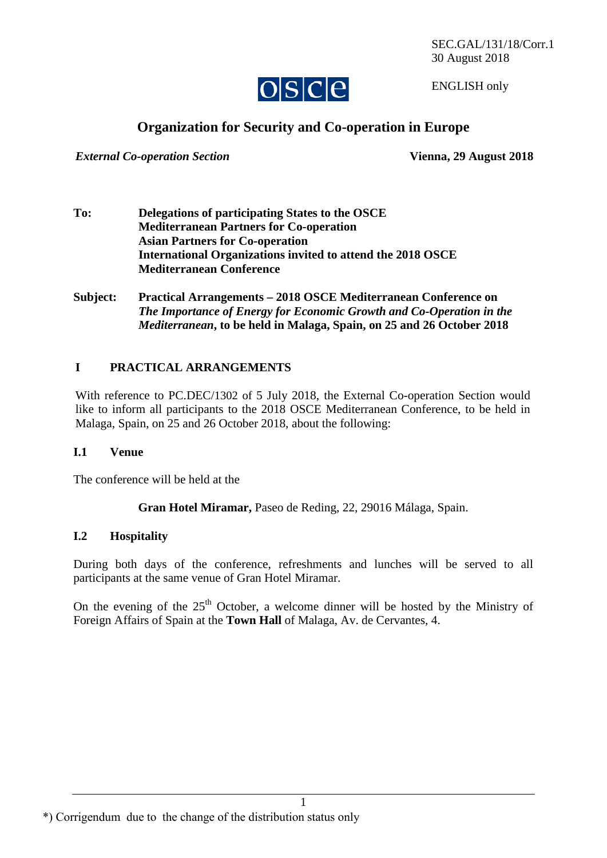SEC.GAL/131/18/Corr.1 30 August 2018



ENGLISH only

# **Organization for Security and Co-operation in Europe**

*External Co-operation Section* **Vienna, 29 August 2018** 

- **To: Delegations of participating States to the OSCE Mediterranean Partners for Co-operation Asian Partners for Co-operation International Organizations invited to attend the 2018 OSCE Mediterranean Conference**
- **Subject: Practical Arrangements 2018 OSCE Mediterranean Conference on**  *The Importance of Energy for Economic Growth and Co-Operation in the Mediterranean***, to be held in Malaga, Spain, on 25 and 26 October 2018**

## **I PRACTICAL ARRANGEMENTS**

With reference to PC.DEC/1302 of 5 July 2018, the External Co-operation Section would like to inform all participants to the 2018 OSCE Mediterranean Conference, to be held in Malaga, Spain, on 25 and 26 October 2018, about the following:

#### **I.1 Venue**

The conference will be held at the

**Gran Hotel Miramar,** Paseo de Reding, 22, 29016 Málaga, Spain.

#### **I.2 Hospitality**

During both days of the conference, refreshments and lunches will be served to all participants at the same venue of Gran Hotel Miramar.

On the evening of the  $25<sup>th</sup>$  October, a welcome dinner will be hosted by the Ministry of Foreign Affairs of Spain at the **Town Hall** of Malaga, Av. de Cervantes, 4.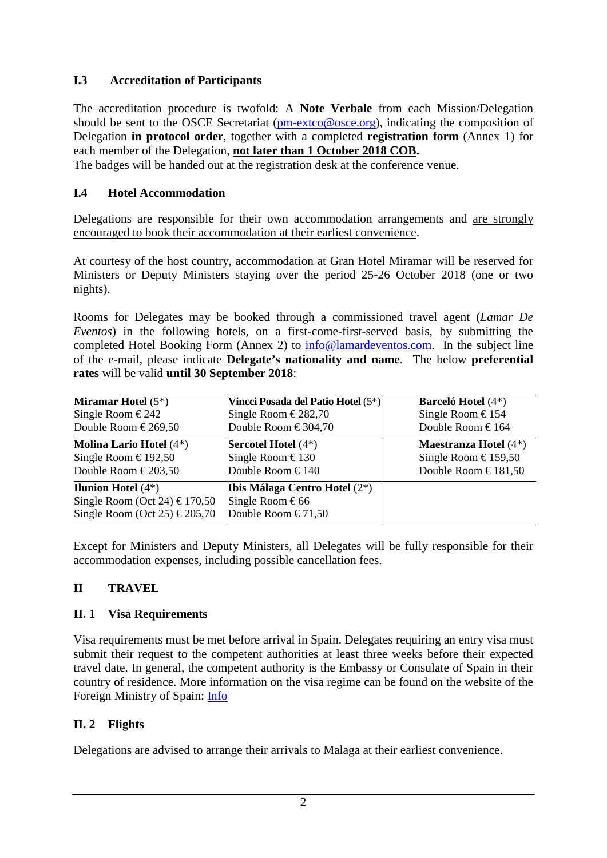## **I.3 Accreditation of Participants**

The accreditation procedure is twofold: A **Note Verbale** from each Mission/Delegation should be sent to the OSCE Secretariat [\(pm-extco@osce.org\)](mailto:pmextco@osce.org), indicating the composition of Delegation **in protocol order**, together with a completed **registration form** (Annex 1) for each member of the Delegation, **not later than 1 October 2018 COB.** 

The badges will be handed out at the registration desk at the conference venue.

## **I.4 Hotel Accommodation**

Delegations are responsible for their own accommodation arrangements and are strongly encouraged to book their accommodation at their earliest convenience.

At courtesy of the host country, accommodation at Gran Hotel Miramar will be reserved for Ministers or Deputy Ministers staying over the period 25-26 October 2018 (one or two nights).

Rooms for Delegates may be booked through a commissioned travel agent (*Lamar De Eventos*) in the following hotels, on a first-come-first-served basis, by submitting the completed Hotel Booking Form (Annex 2) to [info@lamardeventos.com.](mailto:info@lamardeventos.com) In the subject line of the e-mail, please indicate **Delegate's nationality and name**. The below **preferential rates** will be valid **until 30 September 2018**:

| <b>Miramar Hotel</b> $(5^*)$                                                                                      | Vincci Posada del Patio Hotel (5 <sup>*</sup> )                                         | <b>Barceló Hotel</b> (4*)                |
|-------------------------------------------------------------------------------------------------------------------|-----------------------------------------------------------------------------------------|------------------------------------------|
| Single Room €242                                                                                                  | Single Room €282,70                                                                     | Single Room $\text{\textsterling}154$    |
| Double Room $\text{\textsterling}269,50$                                                                          | Double Room €304,70                                                                     | Double Room $\text{\textsterling}164$    |
| <b>Molina Lario Hotel</b> (4*)                                                                                    | <b>Sercotel Hotel</b> $(4^*)$                                                           | <b>Maestranza Hotel</b> $(4^*)$          |
| Single Room $\text{\textsterling}192,50$                                                                          | Single Room €130                                                                        | Single Room $\text{\textsterling}159,50$ |
| Double Room $\text{\textsterling}203,50$                                                                          | Double Room $\text{\textsterling}140$                                                   | Double Room €181,50                      |
| <b>Ilunion Hotel</b> $(4^*)$<br>Single Room (Oct 24) $\text{\textsterling}170,50$<br>Single Room (Oct 25) €205,70 | <b>Ibis Málaga Centro Hotel (2*)</b><br>Single Room €66<br>Double Room $\epsilon$ 71,50 |                                          |

Except for Ministers and Deputy Ministers, all Delegates will be fully responsible for their accommodation expenses, including possible cancellation fees.

## **II TRAVEL**

## **II. 1 Visa Requirements**

Visa requirements must be met before arrival in Spain. Delegates requiring an entry visa must submit their request to the competent authorities at least three weeks before their expected travel date. In general, the competent authority is the Embassy or Consulate of Spain in their country of residence. More information on the visa regime can be found on the website of the Foreign Ministry of Spain: [Info](http://www.exteriores.gob.es/Portal/en/ServiciosAlCiudadano/InformacionParaExtranjeros/Paginas/RequisitosDeEntrada.aspx)

## **II. 2 Flights**

Delegations are advised to arrange their arrivals to Malaga at their earliest convenience.